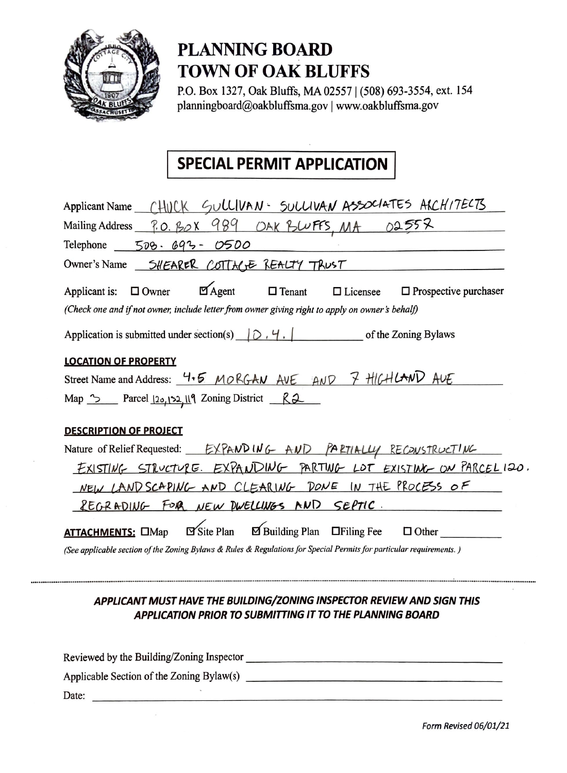

## **PLANNING BOARD TOWN OF OAK BLUFFS**

P.O. Box 1327, Oak Bluffs, MA 02557 | (508) 693-3554, ext. 154 planningboard@oakbluffsma.gov | www.oakbluffsma.gov

### **SPECIAL PERMIT APPLICATION**

| Applicant Name (HUCK SULLIVAN - SULLIVAN ASSOCIATES ACCHITECTS                                                                                                                                                              |
|-----------------------------------------------------------------------------------------------------------------------------------------------------------------------------------------------------------------------------|
| Mailing Address <u>7.0. BOX 989</u> OAK BUFFS, MA 02557                                                                                                                                                                     |
| Telephone 508. 693-0500                                                                                                                                                                                                     |
| Owner's Name 5HEARER COTTAGE REALTY TRUST                                                                                                                                                                                   |
| $\Box$ Agent $\Box$ Tenant $\Box$ Licensee<br>Applicant is: $\Box$ Owner<br>$\Box$ Prospective purchaser<br>(Check one and if not owner, include letter from owner giving right to apply on owner's behalf)                 |
| Application is submitted under section(s) $\bigcirc$ , $\bigcirc$ , $\bigcirc$ , $\bigcirc$ of the Zoning Bylaws                                                                                                            |
| <b>LOCATION OF PROPERTY</b>                                                                                                                                                                                                 |
| Street Name and Address: 4.5 MORGAN AVE AND 7 HIGHLAND AVE                                                                                                                                                                  |
| Map <u>&gt;</u> Parcel 120, 122, 119 Zoning District R2                                                                                                                                                                     |
| <b>DESCRIPTION OF PROJECT</b>                                                                                                                                                                                               |
| Nature of Relief Requested: EXPAND ING AND PARTIALLY RECONSTRUCTING                                                                                                                                                         |
| EXISTING STRUCTURE. EXPANDING PARTING LOT EXISTING ON PARCELIZO.                                                                                                                                                            |
| NEW LAND SCAPING AND CLEARING DONE IN THE PROCESS OF                                                                                                                                                                        |
| REGRADING FOR NEW DWELLINGS AND SEPTIC.                                                                                                                                                                                     |
| <b>ATTACHMENTS:</b> $\Box$ Map $\Box$ Site Plan $\Box$ Building Plan $\Box$ Filing Fee $\Box$ Other<br>(See applicable section of the Zoning Bylaws & Rules & Regulations for Special Permits for particular requirements.) |

### APPLICANT MUST HAVE THE BUILDING/ZONING INSPECTOR REVIEW AND SIGN THIS APPLICATION PRIOR TO SUBMITTING IT TO THE PLANNING BOARD

............

| Reviewed by the Building/Zoning Inspector |  |
|-------------------------------------------|--|
| Applicable Section of the Zoning Bylaw(s) |  |
| Date:                                     |  |

Form Revised 06/01/21